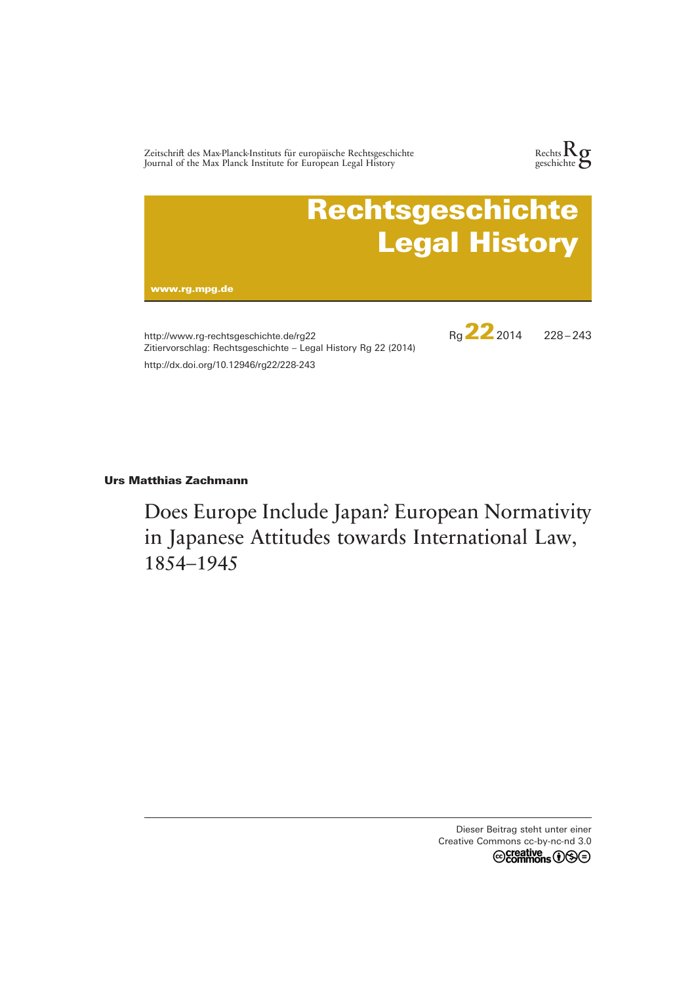Zeitschrift des Max-Planck-Instituts für europäische Rechtsgeschichte Journal of the Max Planck Institute for European Legal History





http://www.rg-rechtsgeschichte.de/rg22 Zitiervorschlag: Rechtsgeschichte – Legal History Rg 22 (2014) http://dx.doi.org/10.12946/rg22/228-243

Rg**22**2014 228 – 243

# **Urs Matthias Zachmann**

Does Europe Include Japan? European Normativity in Japanese Attitudes towards International Law, 1854–1945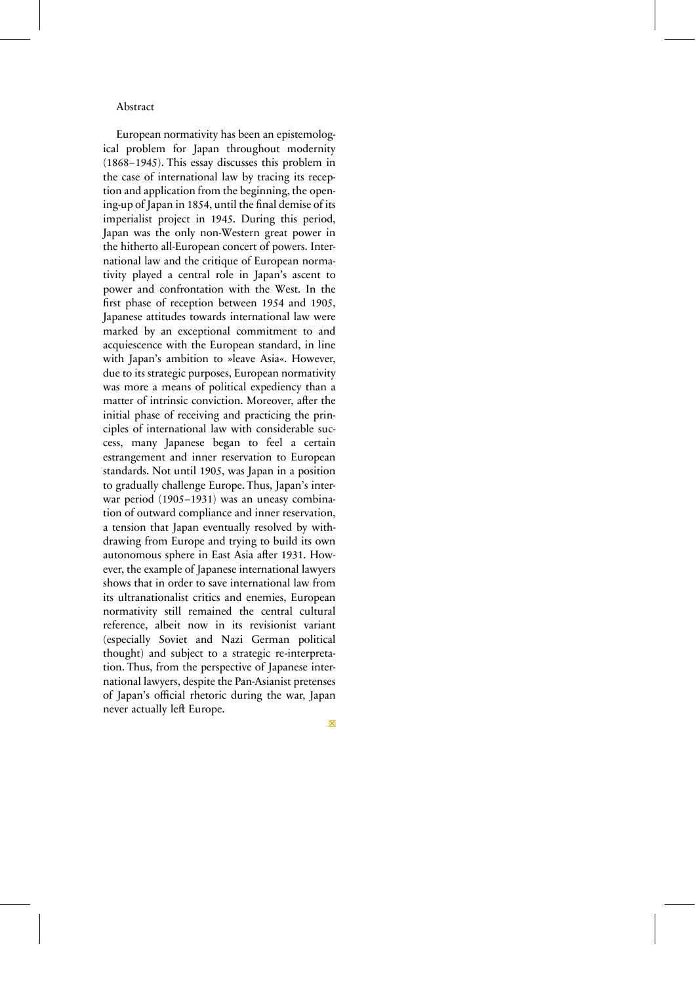#### Abstract

European normativity has been an epistemological problem for Japan throughout modernity (1868–1945). This essay discusses this problem in the case of international law by tracing its reception and application from the beginning, the opening-up of Japan in 1854, until the final demise of its imperialist project in 1945. During this period, Japan was the only non-Western great power in the hitherto all-European concert of powers. International law and the critique of European normativity played a central role in Japan's ascent to power and confrontation with the West. In the first phase of reception between 1954 and 1905, Japanese attitudes towards international law were marked by an exceptional commitment to and acquiescence with the European standard, in line with Japan's ambition to »leave Asia«. However, due to its strategic purposes, European normativity was more a means of political expediency than a matter of intrinsic conviction. Moreover, after the initial phase of receiving and practicing the principles of international law with considerable success, many Japanese began to feel a certain estrangement and inner reservation to European standards. Not until 1905, was Japan in a position to gradually challenge Europe. Thus, Japan's interwar period (1905–1931) was an uneasy combination of outward compliance and inner reservation, a tension that Japan eventually resolved by withdrawing from Europe and trying to build its own autonomous sphere in East Asia after 1931. However, the example of Japanese international lawyers shows that in order to save international law from its ultranationalist critics and enemies, European normativity still remained the central cultural reference, albeit now in its revisionist variant (especially Soviet and Nazi German political thought) and subject to a strategic re-interpretation. Thus, from the perspective of Japanese international lawyers, despite the Pan-Asianist pretenses of Japan's official rhetoric during the war, Japan never actually left Europe.

□×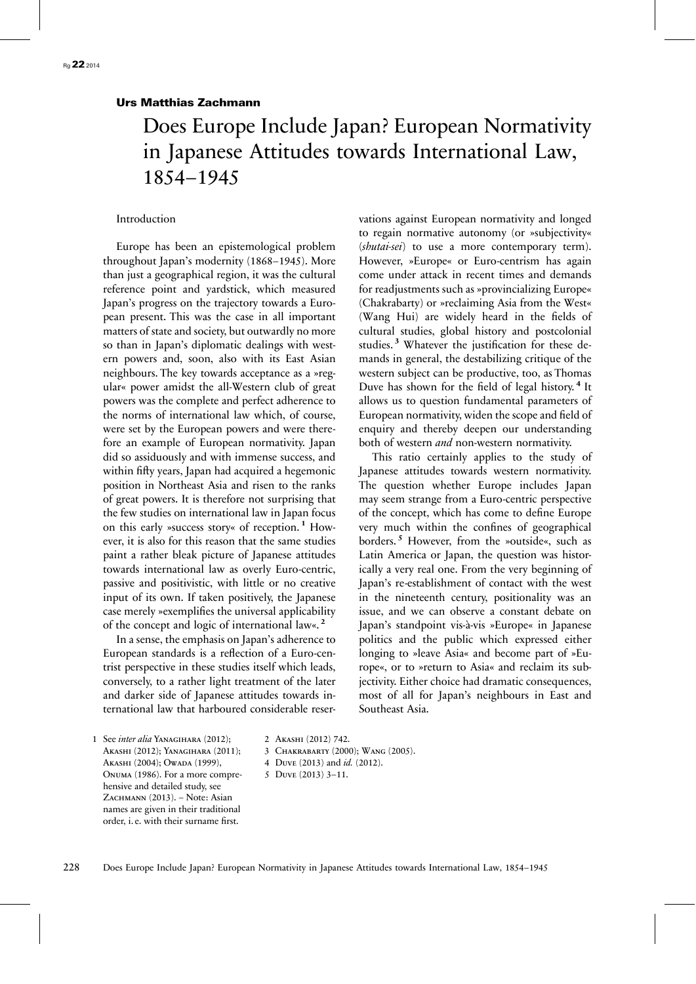# Urs Matthias Zachmann

# Does Europe Include Japan? European Normativity in Japanese Attitudes towards International Law, 1854–1945

Introduction

Europe has been an epistemological problem throughout Japan's modernity (1868–1945). More than just a geographical region, it was the cultural reference point and yardstick, which measured Japan's progress on the trajectory towards a European present. This was the case in all important matters of state and society, but outwardly no more so than in Japan's diplomatic dealings with western powers and, soon, also with its East Asian neighbours. The key towards acceptance as a »regular« power amidst the all-Western club of great powers was the complete and perfect adherence to the norms of international law which, of course, were set by the European powers and were therefore an example of European normativity. Japan did so assiduously and with immense success, and within fifty years, Japan had acquired a hegemonic position in Northeast Asia and risen to the ranks of great powers. It is therefore not surprising that the few studies on international law in Japan focus on this early »success story« of reception. **<sup>1</sup>** However, it is also for this reason that the same studies paint a rather bleak picture of Japanese attitudes towards international law as overly Euro-centric, passive and positivistic, with little or no creative input of its own. If taken positively, the Japanese case merely »exemplifies the universal applicability of the concept and logic of international law«. **<sup>2</sup>**

In a sense, the emphasis on Japan's adherence to European standards is a reflection of a Euro-centrist perspective in these studies itself which leads, conversely, to a rather light treatment of the later and darker side of Japanese attitudes towards international law that harboured considerable reservations against European normativity and longed to regain normative autonomy (or »subjectivity« (*shutai-sei*) to use a more contemporary term). However, »Europe« or Euro-centrism has again come under attack in recent times and demands for readjustments such as »provincializing Europe« (Chakrabarty) or »reclaiming Asia from the West« (Wang Hui) are widely heard in the fields of cultural studies, global history and postcolonial studies. **<sup>3</sup>** Whatever the justification for these demands in general, the destabilizing critique of the western subject can be productive, too, as Thomas Duve has shown for the field of legal history. **<sup>4</sup>** It allows us to question fundamental parameters of European normativity, widen the scope and field of enquiry and thereby deepen our understanding both of western *and* non-western normativity.

This ratio certainly applies to the study of Japanese attitudes towards western normativity. The question whether Europe includes Japan may seem strange from a Euro-centric perspective of the concept, which has come to define Europe very much within the confines of geographical borders. **<sup>5</sup>** However, from the »outside«, such as Latin America or Japan, the question was historically a very real one. From the very beginning of Japan's re-establishment of contact with the west in the nineteenth century, positionality was an issue, and we can observe a constant debate on Japan's standpoint vis-à-vis »Europe« in Japanese politics and the public which expressed either longing to »leave Asia« and become part of »Europe«, or to »return to Asia« and reclaim its subjectivity. Either choice had dramatic consequences, most of all for Japan's neighbours in East and Southeast Asia.

1 See *inter alia* Yanagihara (2012); Akashi (2012); Yanagihara (2011); Akashi (2004); Owada (1999), Onuma (1986). For a more comprehensive and detailed study, see ZACHMANN (2013). – Note: Asian names are given in their traditional order, i. e. with their surname first.

2 Akashi (2012) 742.

3 Chakrabarty (2000); Wang (2005).

4 Duve (2013) and *id.* (2012).

5 Duve (2013) 3–11.

228 Does Europe Include Japan? European Normativity in Japanese Attitudes towards International Law, 1854–1945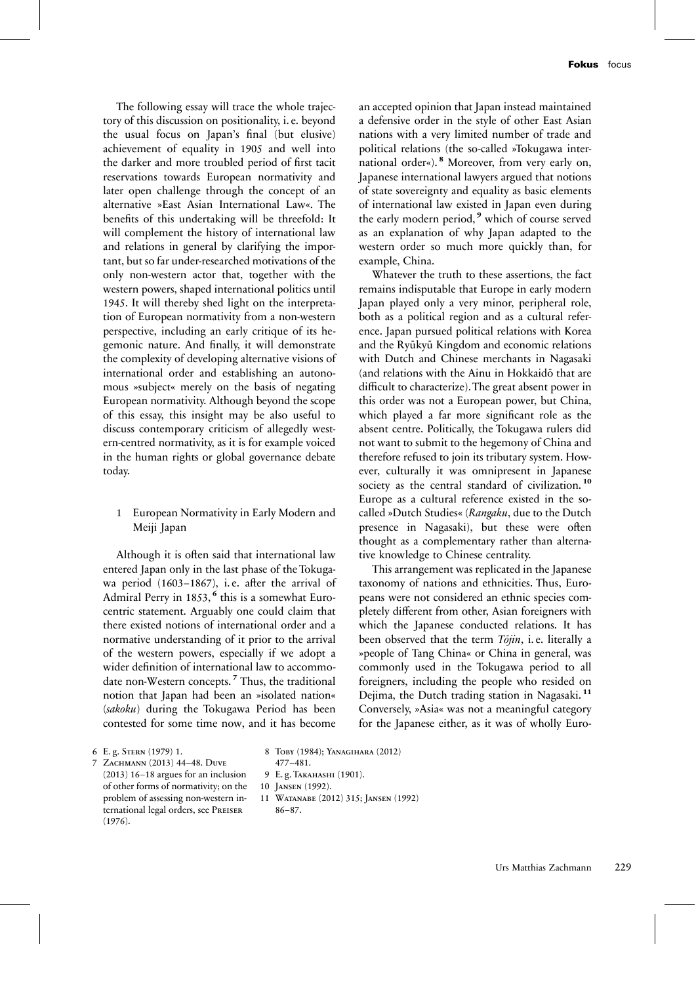The following essay will trace the whole trajectory of this discussion on positionality, i. e. beyond the usual focus on Japan's final (but elusive) achievement of equality in 1905 and well into the darker and more troubled period of first tacit reservations towards European normativity and later open challenge through the concept of an alternative »East Asian International Law«. The benefits of this undertaking will be threefold: It will complement the history of international law and relations in general by clarifying the important, but so far under-researched motivations of the only non-western actor that, together with the western powers, shaped international politics until 1945. It will thereby shed light on the interpretation of European normativity from a non-western perspective, including an early critique of its hegemonic nature. And finally, it will demonstrate the complexity of developing alternative visions of international order and establishing an autonomous »subject« merely on the basis of negating European normativity. Although beyond the scope of this essay, this insight may be also useful to discuss contemporary criticism of allegedly western-centred normativity, as it is for example voiced in the human rights or global governance debate today.

## 1 European Normativity in Early Modern and Meiji Japan

Although it is often said that international law entered Japan only in the last phase of the Tokugawa period (1603-1867), i.e. after the arrival of Admiral Perry in 1853, <sup>6</sup> this is a somewhat Eurocentric statement. Arguably one could claim that there existed notions of international order and a normative understanding of it prior to the arrival of the western powers, especially if we adopt a wider definition of international law to accommodate non-Western concepts. **<sup>7</sup>** Thus, the traditional notion that Japan had been an »isolated nation« (*sakoku*) during the Tokugawa Period has been contested for some time now, and it has become

an accepted opinion that Japan instead maintained a defensive order in the style of other East Asian nations with a very limited number of trade and political relations (the so-called »Tokugawa international order«). **<sup>8</sup>** Moreover, from very early on, Japanese international lawyers argued that notions of state sovereignty and equality as basic elements of international law existed in Japan even during the early modern period, **<sup>9</sup>** which of course served as an explanation of why Japan adapted to the western order so much more quickly than, for example, China.

Whatever the truth to these assertions, the fact remains indisputable that Europe in early modern Japan played only a very minor, peripheral role, both as a political region and as a cultural reference. Japan pursued political relations with Korea and the Ryūkyū Kingdom and economic relations with Dutch and Chinese merchants in Nagasaki (and relations with the Ainu in Hokkaidō that are difficult to characterize). The great absent power in this order was not a European power, but China, which played a far more significant role as the absent centre. Politically, the Tokugawa rulers did not want to submit to the hegemony of China and therefore refused to join its tributary system. However, culturally it was omnipresent in Japanese society as the central standard of civilization. **<sup>10</sup>** Europe as a cultural reference existed in the socalled »Dutch Studies« (*Rangaku*, due to the Dutch presence in Nagasaki), but these were often thought as a complementary rather than alternative knowledge to Chinese centrality.

This arrangement was replicated in the Japanese taxonomy of nations and ethnicities. Thus, Europeans were not considered an ethnic species completely different from other, Asian foreigners with which the Japanese conducted relations. It has been observed that the term *Tōjin*, i. e. literally a »people of Tang China« or China in general, was commonly used in the Tokugawa period to all foreigners, including the people who resided on Dejima, the Dutch trading station in Nagasaki. **<sup>11</sup>** Conversely, »Asia« was not a meaningful category for the Japanese either, as it was of wholly Euro-

6 E. g. Stern (1979) 1.

(1976).

- 8 Toby (1984); Yanagihara (2012) 477–481.
- 7 Zachmann (2013) 44–48. Duve (2013) 16–18 argues for an inclusion of other forms of normativity; on the problem of assessing non-western international legal orders, see Preiser
- 9 E. g. Takahashi (1901).
- 10 Jansen (1992).
- 11 Watanabe (2012) 315; Jansen (1992) 86–87.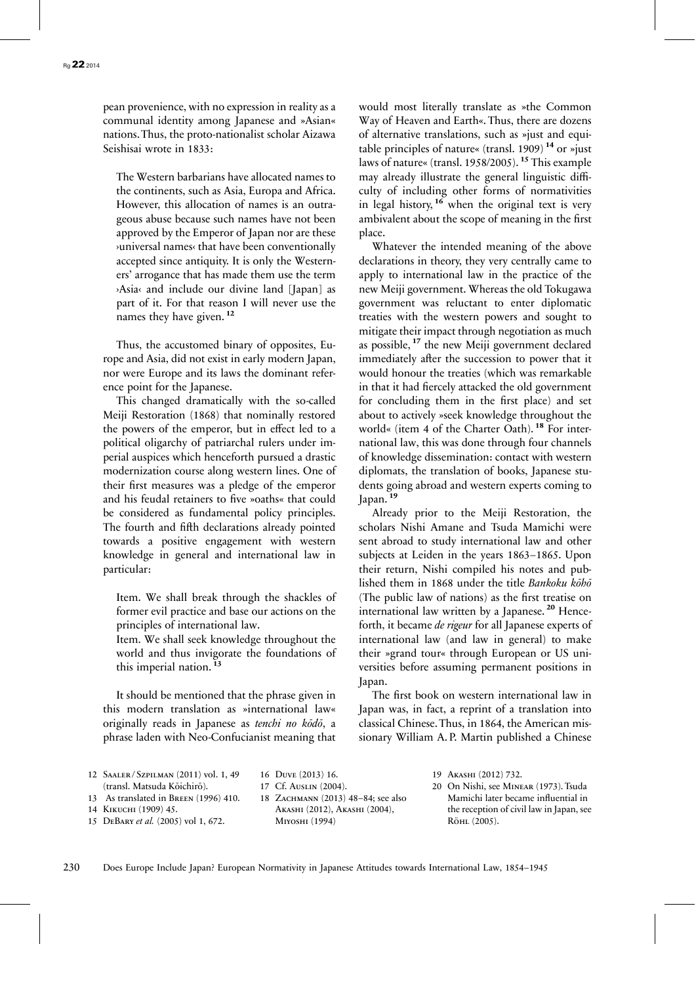pean provenience, with no expression in reality as a communal identity among Japanese and »Asian« nations. Thus, the proto-nationalist scholar Aizawa Seishisai wrote in 1833:

The Western barbarians have allocated names to the continents, such as Asia, Europa and Africa. However, this allocation of names is an outrageous abuse because such names have not been approved by the Emperor of Japan nor are these ›universal names‹ that have been conventionally accepted since antiquity. It is only the Westerners' arrogance that has made them use the term ›Asia‹ and include our divine land [Japan] as part of it. For that reason I will never use the names they have given. **<sup>12</sup>**

Thus, the accustomed binary of opposites, Europe and Asia, did not exist in early modern Japan, nor were Europe and its laws the dominant reference point for the Japanese.

This changed dramatically with the so-called Meiji Restoration (1868) that nominally restored the powers of the emperor, but in effect led to a political oligarchy of patriarchal rulers under imperial auspices which henceforth pursued a drastic modernization course along western lines. One of their first measures was a pledge of the emperor and his feudal retainers to five »oaths« that could be considered as fundamental policy principles. The fourth and fifth declarations already pointed towards a positive engagement with western knowledge in general and international law in particular:

Item. We shall break through the shackles of former evil practice and base our actions on the principles of international law.

Item. We shall seek knowledge throughout the world and thus invigorate the foundations of this imperial nation. **<sup>13</sup>**

It should be mentioned that the phrase given in this modern translation as »international law« originally reads in Japanese as *tenchi no kōdō*, a phrase laden with Neo-Confucianist meaning that would most literally translate as »the Common Way of Heaven and Earth«. Thus, there are dozens of alternative translations, such as »just and equitable principles of nature« (transl. 1909) **<sup>14</sup>** or »just laws of nature« (transl. 1958/2005). **<sup>15</sup>** This example may already illustrate the general linguistic difficulty of including other forms of normativities in legal history,  $16$  when the original text is very ambivalent about the scope of meaning in the first place.

Whatever the intended meaning of the above declarations in theory, they very centrally came to apply to international law in the practice of the new Meiji government. Whereas the old Tokugawa government was reluctant to enter diplomatic treaties with the western powers and sought to mitigate their impact through negotiation as much as possible, **<sup>17</sup>** the new Meiji government declared immediately after the succession to power that it would honour the treaties (which was remarkable in that it had fiercely attacked the old government for concluding them in the first place) and set about to actively »seek knowledge throughout the world« (item 4 of the Charter Oath). **<sup>18</sup>** For international law, this was done through four channels of knowledge dissemination: contact with western diplomats, the translation of books, Japanese students going abroad and western experts coming to Japan.<sup>1</sup>

Already prior to the Meiji Restoration, the scholars Nishi Amane and Tsuda Mamichi were sent abroad to study international law and other subjects at Leiden in the years 1863–1865. Upon their return, Nishi compiled his notes and published them in 1868 under the title *Bankoku kōhō* (The public law of nations) as the first treatise on international law written by a Japanese. **<sup>20</sup>** Henceforth, it became *de rigeur* for all Japanese experts of international law (and law in general) to make their »grand tour« through European or US universities before assuming permanent positions in Japan.

The first book on western international law in Japan was, in fact, a reprint of a translation into classical Chinese. Thus, in 1864, the American missionary William A. P. Martin published a Chinese

| 12 SAALER/SZPILMAN (2011) vol. 1, 49  | 16 DUVE (2013) 16.                 | 19 AKASHI (2012) 732.                    |
|---------------------------------------|------------------------------------|------------------------------------------|
| (transl. Matsuda Kōichirō).           | 17 Cf. Auslin (2004).              | 20 On Nishi, see MINEAR (1973). Tsuda    |
| 13 As translated in BREEN (1996) 410. | 18 ZACHMANN (2013) 48–84; see also | Mamichi later became influential in      |
| 14 Кікисні (1909) 45.                 | AKASHI (2012), AKASHI (2004),      | the reception of civil law in Japan, see |
| 15 DEBARY et al. (2005) vol 1, 672.   | MIYOSHI (1994)                     | Röhl (2005).                             |
|                                       |                                    |                                          |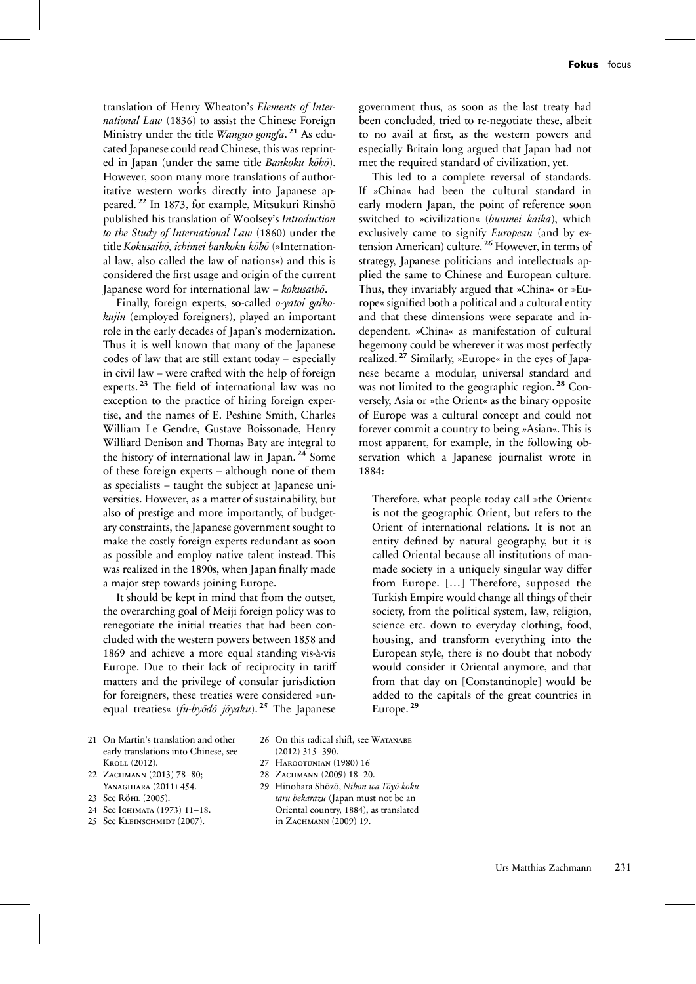translation of Henry Wheaton's *Elements of International Law* (1836) to assist the Chinese Foreign Ministry under the title *Wanguo gongfa*. **<sup>21</sup>** As educated Japanese could read Chinese, this was reprinted in Japan (under the same title *Bankoku kōhō*). However, soon many more translations of authoritative western works directly into Japanese appeared. **<sup>22</sup>** In 1873, for example, Mitsukuri Rinshō published his translation of Woolsey's *Introduction to the Study of International Law* (1860) under the title *Kokusaihō, ichimei bankoku kōhō* (»International law, also called the law of nations«) and this is considered the first usage and origin of the current Japanese word for international law – *kokusaihō*.

Finally, foreign experts, so-called *o-yatoi gaikokujin* (employed foreigners), played an important role in the early decades of Japan's modernization. Thus it is well known that many of the Japanese codes of law that are still extant today – especially in civil law – were crafted with the help of foreign experts. **<sup>23</sup>** The field of international law was no exception to the practice of hiring foreign expertise, and the names of E. Peshine Smith, Charles William Le Gendre, Gustave Boissonade, Henry Williard Denison and Thomas Baty are integral to the history of international law in Japan. **<sup>24</sup>** Some of these foreign experts – although none of them as specialists – taught the subject at Japanese universities. However, as a matter of sustainability, but also of prestige and more importantly, of budgetary constraints, the Japanese government sought to make the costly foreign experts redundant as soon as possible and employ native talent instead. This was realized in the 1890s, when Japan finally made a major step towards joining Europe.

It should be kept in mind that from the outset, the overarching goal of Meiji foreign policy was to renegotiate the initial treaties that had been concluded with the western powers between 1858 and 1869 and achieve a more equal standing vis-à-vis Europe. Due to their lack of reciprocity in tariff matters and the privilege of consular jurisdiction for foreigners, these treaties were considered »unequal treaties« (*fu-byōdō jōyaku*). **<sup>25</sup>** The Japanese

government thus, as soon as the last treaty had been concluded, tried to re-negotiate these, albeit to no avail at first, as the western powers and especially Britain long argued that Japan had not met the required standard of civilization, yet.

This led to a complete reversal of standards. If »China« had been the cultural standard in early modern Japan, the point of reference soon switched to »civilization« (*bunmei kaika*), which exclusively came to signify *European* (and by extension American) culture. **<sup>26</sup>** However, in terms of strategy, Japanese politicians and intellectuals applied the same to Chinese and European culture. Thus, they invariably argued that »China« or »Europe« signified both a political and a cultural entity and that these dimensions were separate and independent. »China« as manifestation of cultural hegemony could be wherever it was most perfectly realized. **<sup>27</sup>** Similarly, »Europe« in the eyes of Japanese became a modular, universal standard and was not limited to the geographic region. **<sup>28</sup>** Conversely, Asia or »the Orient« as the binary opposite of Europe was a cultural concept and could not forever commit a country to being »Asian«. This is most apparent, for example, in the following observation which a Japanese journalist wrote in 1884:

Therefore, what people today call »the Orient« is not the geographic Orient, but refers to the Orient of international relations. It is not an entity defined by natural geography, but it is called Oriental because all institutions of manmade society in a uniquely singular way differ from Europe. […] Therefore, supposed the Turkish Empire would change all things of their society, from the political system, law, religion, science etc. down to everyday clothing, food, housing, and transform everything into the European style, there is no doubt that nobody would consider it Oriental anymore, and that from that day on [Constantinople] would be added to the capitals of the great countries in Europe. **<sup>29</sup>**

- 21 On Martin's translation and other early translations into Chinese, see Kroll (2012).
- 22 ZACHMANN (2013) 78-80; Yanagihara (2011) 454.
- 23 See Röhl (2005).
- 24 See Ichimata (1973) 11–18.
- 25 See Kleinschmidt (2007).
- 26 On this radical shift, see WATANABE (2012) 315–390.
- 27 Harootunian (1980) 16
- 28 ZACHMANN (2009) 18-20.
- 29 Hinohara Shōzō, *Nihon wa Tōyō-koku taru bekarazu* (Japan must not be an Oriental country, 1884), as translated in ZACHMANN (2009) 19.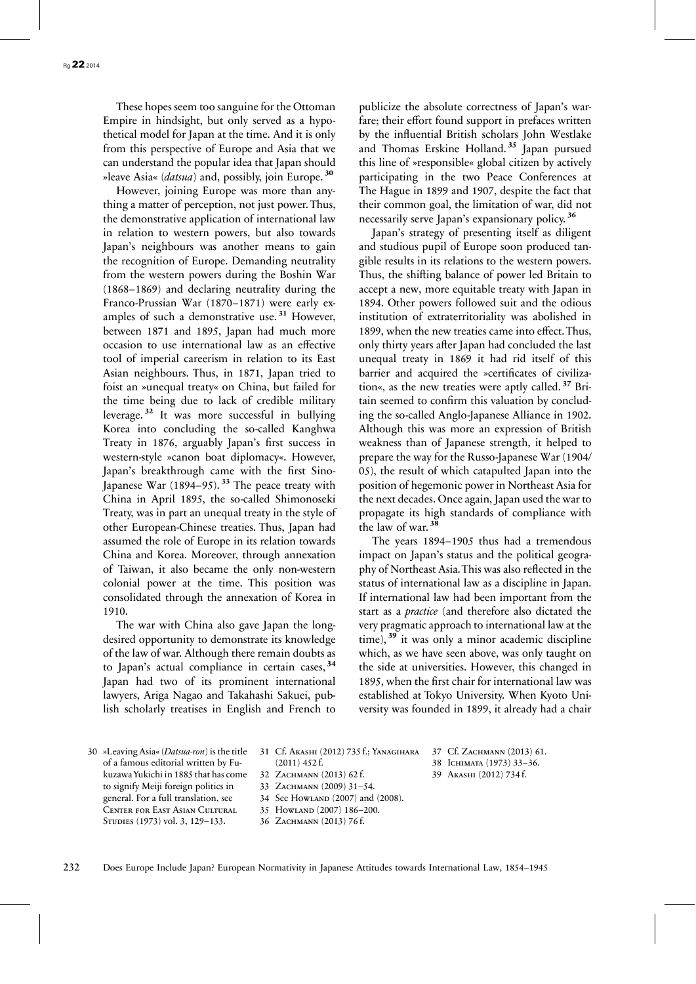These hopes seem too sanguine for the Ottoman Empire in hindsight, but only served as a hypothetical model for Japan at the time. And it is only from this perspective of Europe and Asia that we can understand the popular idea that Japan should »leave Asia« (*datsua*) and, possibly, join Europe. **<sup>30</sup>**

However, joining Europe was more than anything a matter of perception, not just power. Thus, the demonstrative application of international law in relation to western powers, but also towards Japan's neighbours was another means to gain the recognition of Europe. Demanding neutrality from the western powers during the Boshin War (1868–1869) and declaring neutrality during the Franco-Prussian War (1870–1871) were early examples of such a demonstrative use. **<sup>31</sup>** However, between 1871 and 1895, Japan had much more occasion to use international law as an effective tool of imperial careerism in relation to its East Asian neighbours. Thus, in 1871, Japan tried to foist an »unequal treaty« on China, but failed for the time being due to lack of credible military leverage. **<sup>32</sup>** It was more successful in bullying Korea into concluding the so-called Kanghwa Treaty in 1876, arguably Japan's first success in western-style »canon boat diplomacy«. However, Japan's breakthrough came with the first Sino-Japanese War (1894–95).<sup>33</sup> The peace treaty with China in April 1895, the so-called Shimonoseki Treaty, was in part an unequal treaty in the style of other European-Chinese treaties. Thus, Japan had assumed the role of Europe in its relation towards China and Korea. Moreover, through annexation of Taiwan, it also became the only non-western colonial power at the time. This position was consolidated through the annexation of Korea in 1910.

The war with China also gave Japan the longdesired opportunity to demonstrate its knowledge of the law of war. Although there remain doubts as to Japan's actual compliance in certain cases, **<sup>34</sup>** Japan had two of its prominent international lawyers, Ariga Nagao and Takahashi Sakuei, publish scholarly treatises in English and French to

publicize the absolute correctness of Japan's warfare; their effort found support in prefaces written by the influential British scholars John Westlake and Thomas Erskine Holland. **<sup>35</sup>** Japan pursued this line of »responsible« global citizen by actively participating in the two Peace Conferences at The Hague in 1899 and 1907, despite the fact that their common goal, the limitation of war, did not necessarily serve Japan's expansionary policy. **<sup>36</sup>**

Japan's strategy of presenting itself as diligent and studious pupil of Europe soon produced tangible results in its relations to the western powers. Thus, the shifting balance of power led Britain to accept a new, more equitable treaty with Japan in 1894. Other powers followed suit and the odious institution of extraterritoriality was abolished in 1899, when the new treaties came into effect.Thus, only thirty years after Japan had concluded the last unequal treaty in 1869 it had rid itself of this barrier and acquired the »certificates of civilization«, as the new treaties were aptly called. **<sup>37</sup>** Britain seemed to confirm this valuation by concluding the so-called Anglo-Japanese Alliance in 1902. Although this was more an expression of British weakness than of Japanese strength, it helped to prepare the way for the Russo-Japanese War (1904/ 05), the result of which catapulted Japan into the position of hegemonic power in Northeast Asia for the next decades. Once again, Japan used the war to propagate its high standards of compliance with the law of war. **<sup>38</sup>**

The years 1894–1905 thus had a tremendous impact on Japan's status and the political geography of Northeast Asia.This was also reflected in the status of international law as a discipline in Japan. If international law had been important from the start as a *practice* (and therefore also dictated the very pragmatic approach to international law at the time), **<sup>39</sup>** it was only a minor academic discipline which, as we have seen above, was only taught on the side at universities. However, this changed in 1895, when the first chair for international law was established at Tokyo University. When Kyoto University was founded in 1899, it already had a chair

30 »Leaving Asia« (*Datsua-ron*) is the title of a famous editorial written by FukuzawaYukichi in 1885 that has come to signify Meiji foreign politics in general. For a full translation, see Center for East Asian Cultural Studies (1973) vol. 3, 129–133.

31 Cf. Akashi (2012) 735 f.; Yanagihara (2011) 452 f.

32 ZACHMANN (2013) 62 f.

33 ZACHMANN (2009) 31-54.

34 See Howland (2007) and (2008).

35 Howland (2007) 186–200.

36 ZACHMANN (2013) 76 f.

37 Cf. ZACHMANN (2013) 61. 38 Ichimata (1973) 33–36. 39 Akashi (2012) 734 f.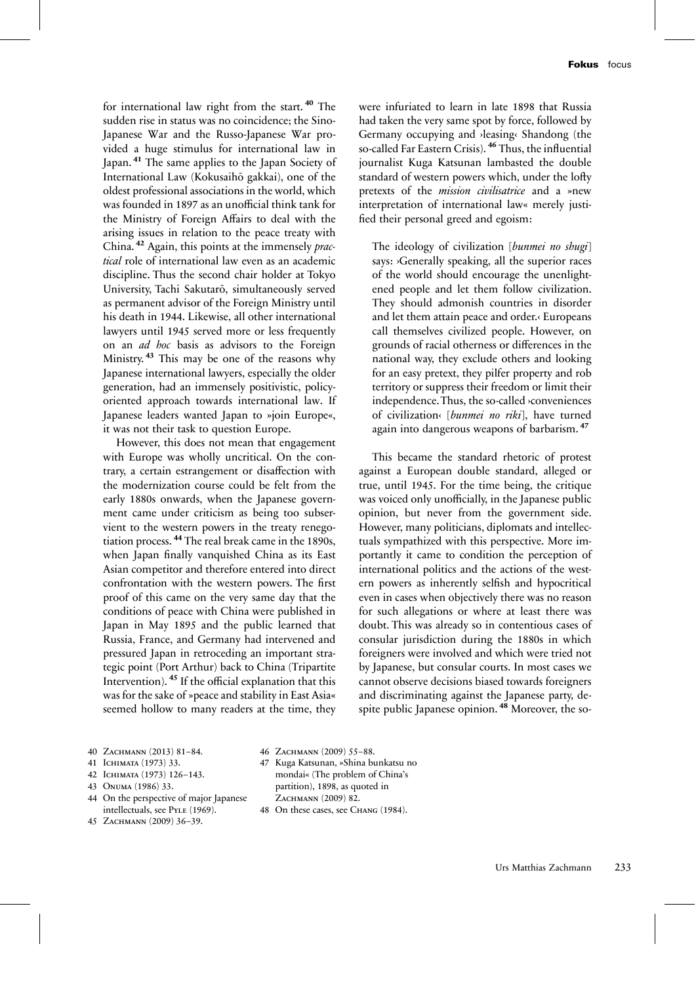for international law right from the start. **<sup>40</sup>** The sudden rise in status was no coincidence; the Sino-Japanese War and the Russo-Japanese War provided a huge stimulus for international law in Japan. **<sup>41</sup>** The same applies to the Japan Society of International Law (Kokusaihō gakkai), one of the oldest professional associations in the world, which was founded in 1897 as an unofficial think tank for the Ministry of Foreign Affairs to deal with the arising issues in relation to the peace treaty with China. **<sup>42</sup>** Again, this points at the immensely *practical* role of international law even as an academic discipline. Thus the second chair holder at Tokyo University, Tachi Sakutarō, simultaneously served as permanent advisor of the Foreign Ministry until his death in 1944. Likewise, all other international lawyers until 1945 served more or less frequently on an *ad hoc* basis as advisors to the Foreign Ministry. **<sup>43</sup>** This may be one of the reasons why Japanese international lawyers, especially the older generation, had an immensely positivistic, policyoriented approach towards international law. If Japanese leaders wanted Japan to »join Europe«, it was not their task to question Europe.

However, this does not mean that engagement with Europe was wholly uncritical. On the contrary, a certain estrangement or disaffection with the modernization course could be felt from the early 1880s onwards, when the Japanese government came under criticism as being too subservient to the western powers in the treaty renegotiation process. **<sup>44</sup>** The real break came in the 1890s, when Japan finally vanquished China as its East Asian competitor and therefore entered into direct confrontation with the western powers. The first proof of this came on the very same day that the conditions of peace with China were published in Japan in May 1895 and the public learned that Russia, France, and Germany had intervened and pressured Japan in retroceding an important strategic point (Port Arthur) back to China (Tripartite Intervention). **<sup>45</sup>** If the official explanation that this was for the sake of »peace and stability in East Asia« seemed hollow to many readers at the time, they were infuriated to learn in late 1898 that Russia had taken the very same spot by force, followed by Germany occupying and ›leasing‹ Shandong (the so-called Far Eastern Crisis). **<sup>46</sup>** Thus, the influential journalist Kuga Katsunan lambasted the double standard of western powers which, under the lofty pretexts of the *mission civilisatrice* and a »new interpretation of international law« merely justified their personal greed and egoism:

The ideology of civilization [*bunmei no shugi*] says: >Generally speaking, all the superior races of the world should encourage the unenlightened people and let them follow civilization. They should admonish countries in disorder and let them attain peace and order.‹ Europeans call themselves civilized people. However, on grounds of racial otherness or differences in the national way, they exclude others and looking for an easy pretext, they pilfer property and rob territory or suppress their freedom or limit their independence.Thus, the so-called ›conveniences of civilization‹ [*bunmei no riki*], have turned again into dangerous weapons of barbarism. **<sup>47</sup>**

This became the standard rhetoric of protest against a European double standard, alleged or true, until 1945. For the time being, the critique was voiced only unofficially, in the Japanese public opinion, but never from the government side. However, many politicians, diplomats and intellectuals sympathized with this perspective. More importantly it came to condition the perception of international politics and the actions of the western powers as inherently selfish and hypocritical even in cases when objectively there was no reason for such allegations or where at least there was doubt. This was already so in contentious cases of consular jurisdiction during the 1880s in which foreigners were involved and which were tried not by Japanese, but consular courts. In most cases we cannot observe decisions biased towards foreigners and discriminating against the Japanese party, despite public Japanese opinion. **<sup>48</sup>** Moreover, the so-

- 40 ZACHMANN (2013) 81-84.
- 41 Ichimata (1973) 33.
- 42 Ichimata (1973) 126–143.
- 43 Onuma (1986) 33.
- 44 On the perspective of major Japanese intellectuals, see PYLE (1969).
- 45 ZACHMANN (2009) 36-39.
- 46 ZACHMANN (2009) 55-88.
- 47 Kuga Katsunan, »Shina bunkatsu no mondai« (The problem of China's partition), 1898, as quoted in .<br>Zachmann (2009) 82.
- 48 On these cases, see CHANG (1984).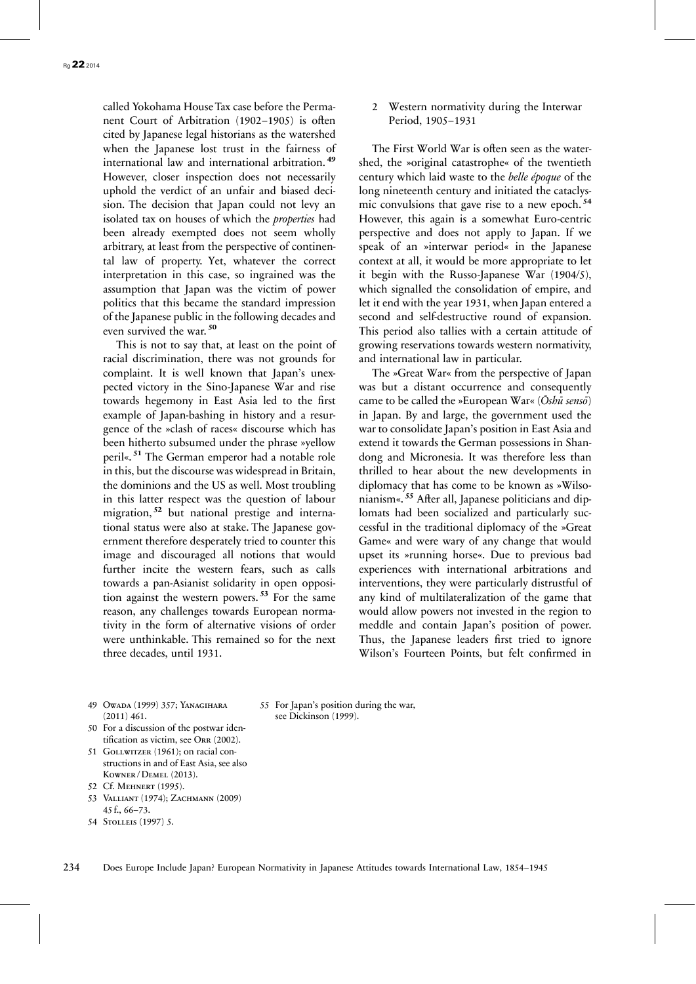called Yokohama House Tax case before the Permanent Court of Arbitration (1902–1905) is often cited by Japanese legal historians as the watershed when the Japanese lost trust in the fairness of international law and international arbitration. **<sup>49</sup>** However, closer inspection does not necessarily uphold the verdict of an unfair and biased decision. The decision that Japan could not levy an isolated tax on houses of which the *properties* had been already exempted does not seem wholly arbitrary, at least from the perspective of continental law of property. Yet, whatever the correct interpretation in this case, so ingrained was the assumption that Japan was the victim of power politics that this became the standard impression of the Japanese public in the following decades and even survived the war. **<sup>50</sup>**

This is not to say that, at least on the point of racial discrimination, there was not grounds for complaint. It is well known that Japan's unexpected victory in the Sino-Japanese War and rise towards hegemony in East Asia led to the first example of Japan-bashing in history and a resurgence of the »clash of races« discourse which has been hitherto subsumed under the phrase »yellow peril«. **<sup>51</sup>** The German emperor had a notable role in this, but the discourse was widespread in Britain, the dominions and the US as well. Most troubling in this latter respect was the question of labour migration, **<sup>52</sup>** but national prestige and international status were also at stake. The Japanese government therefore desperately tried to counter this image and discouraged all notions that would further incite the western fears, such as calls towards a pan-Asianist solidarity in open opposition against the western powers. **<sup>53</sup>** For the same reason, any challenges towards European normativity in the form of alternative visions of order were unthinkable. This remained so for the next three decades, until 1931.

2 Western normativity during the Interwar Period, 1905–1931

The First World War is often seen as the watershed, the »original catastrophe« of the twentieth century which laid waste to the *belle époque* of the long nineteenth century and initiated the cataclysmic convulsions that gave rise to a new epoch. **<sup>54</sup>** However, this again is a somewhat Euro-centric perspective and does not apply to Japan. If we speak of an »interwar period« in the Japanese context at all, it would be more appropriate to let it begin with the Russo-Japanese War (1904/5), which signalled the consolidation of empire, and let it end with the year 1931, when Japan entered a second and self-destructive round of expansion. This period also tallies with a certain attitude of growing reservations towards western normativity, and international law in particular.

The »Great War« from the perspective of Japan was but a distant occurrence and consequently came to be called the »European War« (*Ōshū sensō*) in Japan. By and large, the government used the war to consolidate Japan's position in East Asia and extend it towards the German possessions in Shandong and Micronesia. It was therefore less than thrilled to hear about the new developments in diplomacy that has come to be known as »Wilsonianism«. **<sup>55</sup>** After all, Japanese politicians and diplomats had been socialized and particularly successful in the traditional diplomacy of the »Great Game« and were wary of any change that would upset its »running horse«. Due to previous bad experiences with international arbitrations and interventions, they were particularly distrustful of any kind of multilateralization of the game that would allow powers not invested in the region to meddle and contain Japan's position of power. Thus, the Japanese leaders first tried to ignore Wilson's Fourteen Points, but felt confirmed in

49 Owada (1999) 357; Yanagihara  $(2011)$  461.

55 For Japan's position during the war, see Dickinson (1999).

- 50 For a discussion of the postwar identification as victim, see Orr (2002).
- 51 GOLLWITZER (1961); on racial constructions in and of East Asia, see also Kowner / Demel (2013).
- 52 Cf. Mehnert (1995).
- 53 Valliant (1974); Zachmann (2009) 45 f., 66–73.
- 54 Stolleis (1997) 5.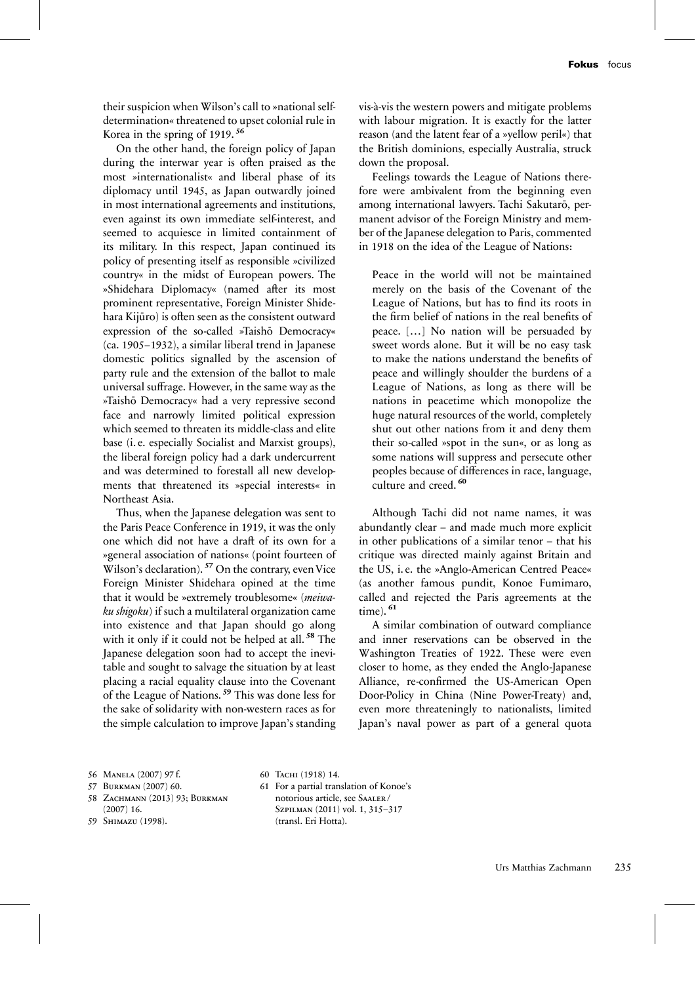their suspicion when Wilson's call to »national selfdetermination« threatened to upset colonial rule in Korea in the spring of 1919. **<sup>56</sup>**

On the other hand, the foreign policy of Japan during the interwar year is often praised as the most »internationalist« and liberal phase of its diplomacy until 1945, as Japan outwardly joined in most international agreements and institutions, even against its own immediate self-interest, and seemed to acquiesce in limited containment of its military. In this respect, Japan continued its policy of presenting itself as responsible »civilized country« in the midst of European powers. The »Shidehara Diplomacy« (named after its most prominent representative, Foreign Minister Shidehara Kijūro) is often seen as the consistent outward expression of the so-called »Taishō Democracy« (ca. 1905–1932), a similar liberal trend in Japanese domestic politics signalled by the ascension of party rule and the extension of the ballot to male universal suffrage. However, in the same way as the »Taishō Democracy« had a very repressive second face and narrowly limited political expression which seemed to threaten its middle-class and elite base (i. e. especially Socialist and Marxist groups), the liberal foreign policy had a dark undercurrent and was determined to forestall all new developments that threatened its »special interests« in Northeast Asia.

Thus, when the Japanese delegation was sent to the Paris Peace Conference in 1919, it was the only one which did not have a draft of its own for a »general association of nations« (point fourteen of Wilson's declaration). <sup>57</sup> On the contrary, even Vice Foreign Minister Shidehara opined at the time that it would be »extremely troublesome« (*meiwaku shigoku*) if such a multilateral organization came into existence and that Japan should go along with it only if it could not be helped at all. **<sup>58</sup>** The Japanese delegation soon had to accept the inevitable and sought to salvage the situation by at least placing a racial equality clause into the Covenant of the League of Nations. **<sup>59</sup>** This was done less for the sake of solidarity with non-western races as for the simple calculation to improve Japan's standing vis-à-vis the western powers and mitigate problems with labour migration. It is exactly for the latter reason (and the latent fear of a »yellow peril«) that the British dominions, especially Australia, struck down the proposal.

Feelings towards the League of Nations therefore were ambivalent from the beginning even among international lawyers. Tachi Sakutarō, permanent advisor of the Foreign Ministry and member of the Japanese delegation to Paris, commented in 1918 on the idea of the League of Nations:

Peace in the world will not be maintained merely on the basis of the Covenant of the League of Nations, but has to find its roots in the firm belief of nations in the real benefits of peace. […] No nation will be persuaded by sweet words alone. But it will be no easy task to make the nations understand the benefits of peace and willingly shoulder the burdens of a League of Nations, as long as there will be nations in peacetime which monopolize the huge natural resources of the world, completely shut out other nations from it and deny them their so-called »spot in the sun«, or as long as some nations will suppress and persecute other peoples because of differences in race, language, culture and creed. **<sup>60</sup>**

Although Tachi did not name names, it was abundantly clear – and made much more explicit in other publications of a similar tenor – that his critique was directed mainly against Britain and the US, i. e. the »Anglo-American Centred Peace« (as another famous pundit, Konoe Fumimaro, called and rejected the Paris agreements at the time). **<sup>61</sup>**

A similar combination of outward compliance and inner reservations can be observed in the Washington Treaties of 1922. These were even closer to home, as they ended the Anglo-Japanese Alliance, re-confirmed the US-American Open Door-Policy in China (Nine Power-Treaty) and, even more threateningly to nationalists, limited Japan's naval power as part of a general quota

- 58 Zachmann (2013) 93; Burkman (2007) 16.
- 59 Shimazu (1998).
- 60 Tachi (1918) 14. 61 For a partial translation of Konoe's notorious article, see Saaler / Szpilman (2011) vol. 1, 315–317 (transl. Eri Hotta).

<sup>56</sup> Manela (2007) 97 f.

<sup>57</sup> Burkman (2007) 60.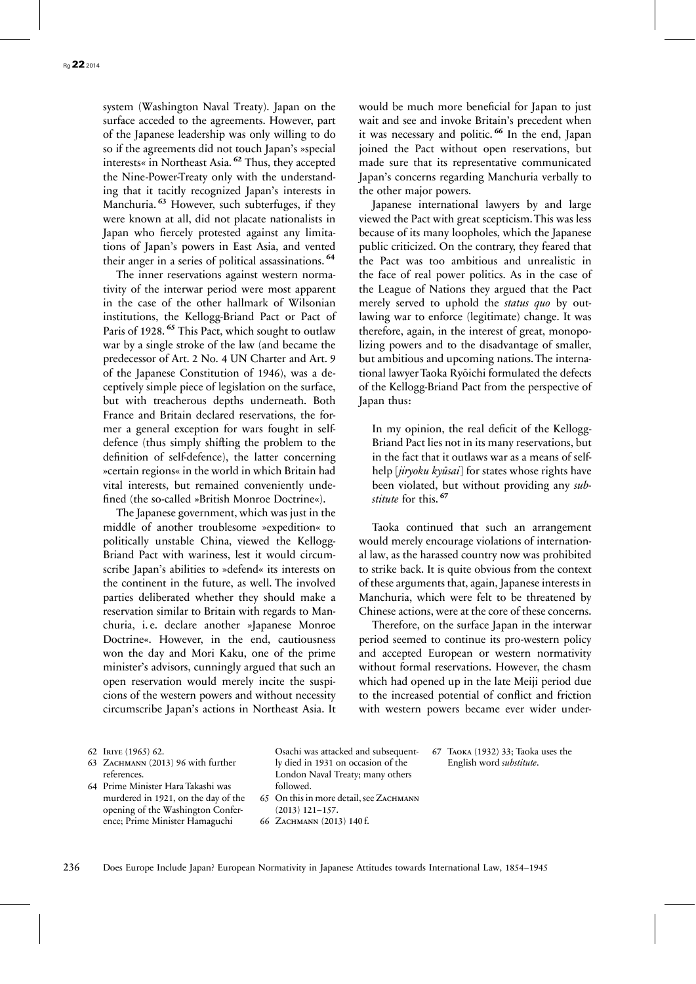system (Washington Naval Treaty). Japan on the surface acceded to the agreements. However, part of the Japanese leadership was only willing to do so if the agreements did not touch Japan's »special interests« in Northeast Asia. **<sup>62</sup>** Thus, they accepted the Nine-Power-Treaty only with the understanding that it tacitly recognized Japan's interests in Manchuria. **<sup>63</sup>** However, such subterfuges, if they were known at all, did not placate nationalists in Japan who fiercely protested against any limitations of Japan's powers in East Asia, and vented their anger in a series of political assassinations. **<sup>64</sup>**

The inner reservations against western normativity of the interwar period were most apparent in the case of the other hallmark of Wilsonian institutions, the Kellogg-Briand Pact or Pact of Paris of 1928. **<sup>65</sup>** This Pact, which sought to outlaw war by a single stroke of the law (and became the predecessor of Art. 2 No. 4 UN Charter and Art. 9 of the Japanese Constitution of 1946), was a deceptively simple piece of legislation on the surface, but with treacherous depths underneath. Both France and Britain declared reservations, the former a general exception for wars fought in selfdefence (thus simply shifting the problem to the definition of self-defence), the latter concerning »certain regions« in the world in which Britain had vital interests, but remained conveniently undefined (the so-called »British Monroe Doctrine«).

The Japanese government, which was just in the middle of another troublesome »expedition« to politically unstable China, viewed the Kellogg-Briand Pact with wariness, lest it would circumscribe Japan's abilities to »defend« its interests on the continent in the future, as well. The involved parties deliberated whether they should make a reservation similar to Britain with regards to Manchuria, i. e. declare another »Japanese Monroe Doctrine«. However, in the end, cautiousness won the day and Mori Kaku, one of the prime minister's advisors, cunningly argued that such an open reservation would merely incite the suspicions of the western powers and without necessity circumscribe Japan's actions in Northeast Asia. It

would be much more beneficial for Japan to just wait and see and invoke Britain's precedent when it was necessary and politic. **<sup>66</sup>** In the end, Japan joined the Pact without open reservations, but made sure that its representative communicated Japan's concerns regarding Manchuria verbally to the other major powers.

Japanese international lawyers by and large viewed the Pact with great scepticism. This was less because of its many loopholes, which the Japanese public criticized. On the contrary, they feared that the Pact was too ambitious and unrealistic in the face of real power politics. As in the case of the League of Nations they argued that the Pact merely served to uphold the *status quo* by outlawing war to enforce (legitimate) change. It was therefore, again, in the interest of great, monopolizing powers and to the disadvantage of smaller, but ambitious and upcoming nations. The international lawyer Taoka Ryōichi formulated the defects of the Kellogg-Briand Pact from the perspective of Japan thus:

In my opinion, the real deficit of the Kellogg-Briand Pact lies not in its many reservations, but in the fact that it outlaws war as a means of selfhelp [*jiryoku kyūsai*] for states whose rights have been violated, but without providing any *substitute* for this. **<sup>67</sup>**

Taoka continued that such an arrangement would merely encourage violations of international law, as the harassed country now was prohibited to strike back. It is quite obvious from the context of these arguments that, again, Japanese interests in Manchuria, which were felt to be threatened by Chinese actions, were at the core of these concerns.

Therefore, on the surface Japan in the interwar period seemed to continue its pro-western policy and accepted European or western normativity without formal reservations. However, the chasm which had opened up in the late Meiji period due to the increased potential of conflict and friction with western powers became ever wider under-

> 67 Taoka (1932) 33; Taoka uses the English word *substitute*.

62 Iriye (1965) 62.

- 63 ZACHMANN (2013) 96 with further references.
- 64 Prime Minister Hara Takashi was murdered in 1921, on the day of the opening of the Washington Conference; Prime Minister Hamaguchi

Osachi was attacked and subsequently died in 1931 on occasion of the London Naval Treaty; many others followed. 65 On this in more detail, see ZACHMANN (2013) 121–157. 66 ZACHMANN (2013) 140 f.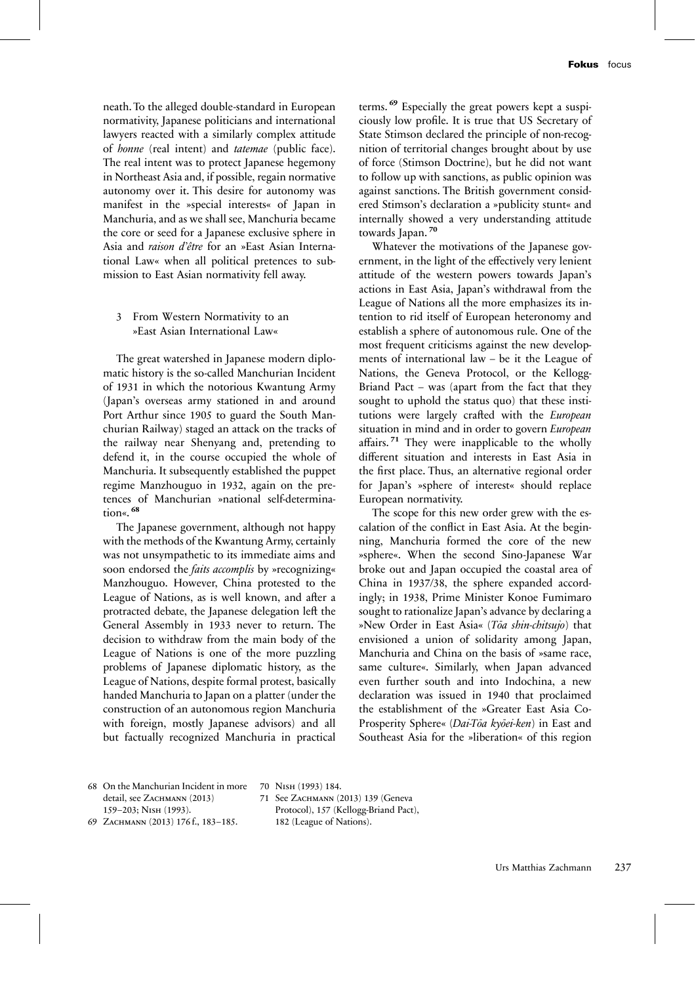neath. To the alleged double-standard in European normativity, Japanese politicians and international lawyers reacted with a similarly complex attitude of *honne* (real intent) and *tatemae* (public face). The real intent was to protect Japanese hegemony in Northeast Asia and, if possible, regain normative autonomy over it. This desire for autonomy was manifest in the »special interests« of Japan in Manchuria, and as we shall see, Manchuria became the core or seed for a Japanese exclusive sphere in Asia and *raison d'être* for an »East Asian International Law« when all political pretences to submission to East Asian normativity fell away.

## 3 From Western Normativity to an »East Asian International Law«

The great watershed in Japanese modern diplomatic history is the so-called Manchurian Incident of 1931 in which the notorious Kwantung Army (Japan's overseas army stationed in and around Port Arthur since 1905 to guard the South Manchurian Railway) staged an attack on the tracks of the railway near Shenyang and, pretending to defend it, in the course occupied the whole of Manchuria. It subsequently established the puppet regime Manzhouguo in 1932, again on the pretences of Manchurian »national self-determination«. **<sup>68</sup>**

The Japanese government, although not happy with the methods of the Kwantung Army, certainly was not unsympathetic to its immediate aims and soon endorsed the *faits accomplis* by »recognizing« Manzhouguo. However, China protested to the League of Nations, as is well known, and after a protracted debate, the Japanese delegation left the General Assembly in 1933 never to return. The decision to withdraw from the main body of the League of Nations is one of the more puzzling problems of Japanese diplomatic history, as the League of Nations, despite formal protest, basically handed Manchuria to Japan on a platter (under the construction of an autonomous region Manchuria with foreign, mostly Japanese advisors) and all but factually recognized Manchuria in practical terms. **<sup>69</sup>** Especially the great powers kept a suspiciously low profile. It is true that US Secretary of State Stimson declared the principle of non-recognition of territorial changes brought about by use of force (Stimson Doctrine), but he did not want to follow up with sanctions, as public opinion was against sanctions. The British government considered Stimson's declaration a »publicity stunt« and internally showed a very understanding attitude towards Japan. **<sup>70</sup>**

Whatever the motivations of the Japanese government, in the light of the effectively very lenient attitude of the western powers towards Japan's actions in East Asia, Japan's withdrawal from the League of Nations all the more emphasizes its intention to rid itself of European heteronomy and establish a sphere of autonomous rule. One of the most frequent criticisms against the new developments of international law – be it the League of Nations, the Geneva Protocol, or the Kellogg-Briand Pact – was (apart from the fact that they sought to uphold the status quo) that these institutions were largely crafted with the *European* situation in mind and in order to govern *European* affairs. **<sup>71</sup>** They were inapplicable to the wholly different situation and interests in East Asia in the first place. Thus, an alternative regional order for Japan's »sphere of interest« should replace European normativity.

The scope for this new order grew with the escalation of the conflict in East Asia. At the beginning, Manchuria formed the core of the new »sphere«. When the second Sino-Japanese War broke out and Japan occupied the coastal area of China in 1937/38, the sphere expanded accordingly; in 1938, Prime Minister Konoe Fumimaro sought to rationalize Japan's advance by declaring a »New Order in East Asia« (*Tōa shin-chitsujo*) that envisioned a union of solidarity among Japan, Manchuria and China on the basis of »same race, same culture«. Similarly, when Japan advanced even further south and into Indochina, a new declaration was issued in 1940 that proclaimed the establishment of the »Greater East Asia Co-Prosperity Sphere« (*Dai-Tōa kyōei-ken*) in East and Southeast Asia for the »liberation« of this region

68 On the Manchurian Incident in more detail, see ZACHMANN (2013) 159–203; Nish (1993).

69 Zachmann (2013) 176 f., 183–185.

70 Nish (1993) 184. 71 See ZACHMANN (2013) 139 (Geneva Protocol), 157 (Kellogg-Briand Pact), 182 (League of Nations).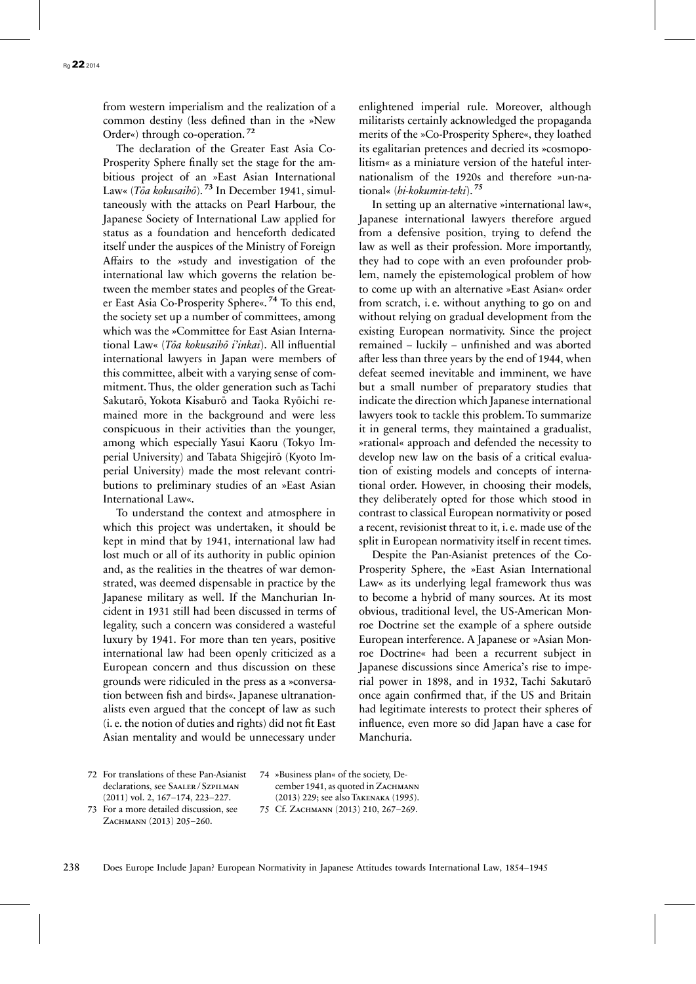from western imperialism and the realization of a common destiny (less defined than in the »New Order«) through co-operation. **<sup>72</sup>**

The declaration of the Greater East Asia Co-Prosperity Sphere finally set the stage for the ambitious project of an »East Asian International Law« (*Tōa kokusaihō*). **<sup>73</sup>** In December 1941, simultaneously with the attacks on Pearl Harbour, the Japanese Society of International Law applied for status as a foundation and henceforth dedicated itself under the auspices of the Ministry of Foreign Affairs to the »study and investigation of the international law which governs the relation between the member states and peoples of the Greater East Asia Co-Prosperity Sphere«. **<sup>74</sup>** To this end, the society set up a number of committees, among which was the »Committee for East Asian International Law« (*Tōa kokusaihō i'inkai*). All influential international lawyers in Japan were members of this committee, albeit with a varying sense of commitment. Thus, the older generation such as Tachi Sakutarō, Yokota Kisaburō and Taoka Ryōichi remained more in the background and were less conspicuous in their activities than the younger, among which especially Yasui Kaoru (Tokyo Imperial University) and Tabata Shigejirō (Kyoto Imperial University) made the most relevant contributions to preliminary studies of an »East Asian International Law«.

To understand the context and atmosphere in which this project was undertaken, it should be kept in mind that by 1941, international law had lost much or all of its authority in public opinion and, as the realities in the theatres of war demonstrated, was deemed dispensable in practice by the Japanese military as well. If the Manchurian Incident in 1931 still had been discussed in terms of legality, such a concern was considered a wasteful luxury by 1941. For more than ten years, positive international law had been openly criticized as a European concern and thus discussion on these grounds were ridiculed in the press as a »conversation between fish and birds«. Japanese ultranationalists even argued that the concept of law as such (i. e. the notion of duties and rights) did not fit East Asian mentality and would be unnecessary under

enlightened imperial rule. Moreover, although militarists certainly acknowledged the propaganda merits of the »Co-Prosperity Sphere«, they loathed its egalitarian pretences and decried its »cosmopolitism« as a miniature version of the hateful internationalism of the 1920s and therefore »un-national« (*hi-kokumin-teki*). **<sup>75</sup>**

In setting up an alternative »international law«, Japanese international lawyers therefore argued from a defensive position, trying to defend the law as well as their profession. More importantly, they had to cope with an even profounder problem, namely the epistemological problem of how to come up with an alternative »East Asian« order from scratch, i. e. without anything to go on and without relying on gradual development from the existing European normativity. Since the project remained – luckily – unfinished and was aborted after less than three years by the end of 1944, when defeat seemed inevitable and imminent, we have but a small number of preparatory studies that indicate the direction which Japanese international lawyers took to tackle this problem. To summarize it in general terms, they maintained a gradualist, »rational« approach and defended the necessity to develop new law on the basis of a critical evaluation of existing models and concepts of international order. However, in choosing their models, they deliberately opted for those which stood in contrast to classical European normativity or posed a recent, revisionist threat to it, i. e. made use of the split in European normativity itself in recent times.

Despite the Pan-Asianist pretences of the Co-Prosperity Sphere, the »East Asian International Law« as its underlying legal framework thus was to become a hybrid of many sources. At its most obvious, traditional level, the US-American Monroe Doctrine set the example of a sphere outside European interference. A Japanese or »Asian Monroe Doctrine« had been a recurrent subject in Japanese discussions since America's rise to imperial power in 1898, and in 1932, Tachi Sakutarō once again confirmed that, if the US and Britain had legitimate interests to protect their spheres of influence, even more so did Japan have a case for Manchuria.

72 For translations of these Pan-Asianist declarations, see SAALER/SZPILMAN (2011) vol. 2, 167–174, 223–227.

74 »Business plan« of the society, December 1941, as quoted in ZACHMANN (2013) 229; see also Takenaka (1995). 75 Cf. ZACHMANN (2013) 210, 267-269.

73 For a more detailed discussion, see ZACHMANN (2013) 205-260.

238 Does Europe Include Japan? European Normativity in Japanese Attitudes towards International Law, 1854–1945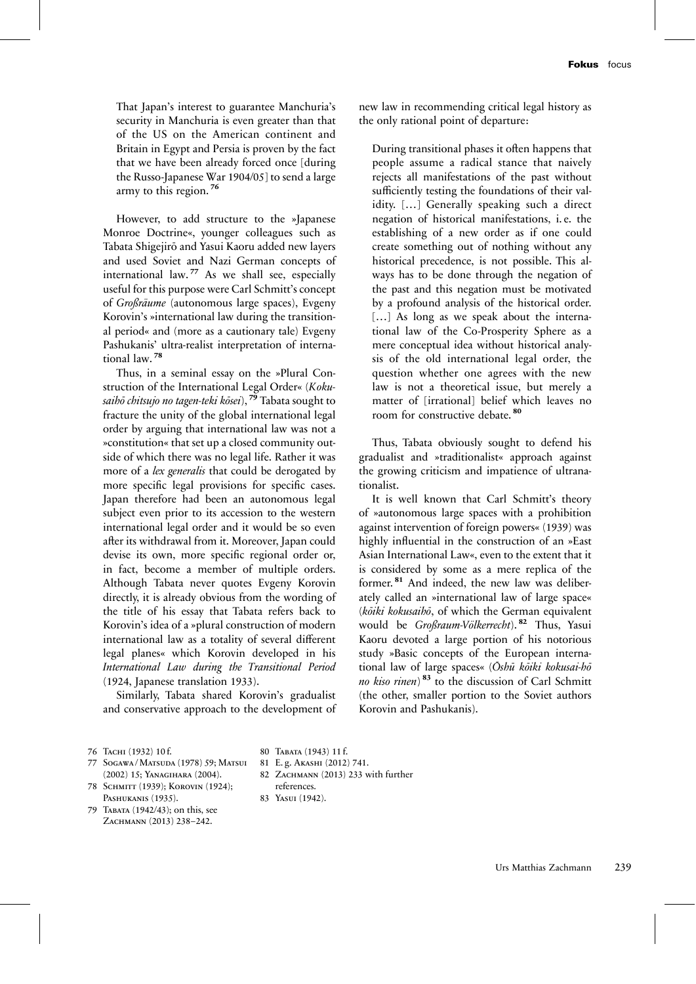That Japan's interest to guarantee Manchuria's security in Manchuria is even greater than that of the US on the American continent and Britain in Egypt and Persia is proven by the fact that we have been already forced once [during the Russo-Japanese War 1904/05] to send a large army to this region. **<sup>76</sup>**

However, to add structure to the »Japanese Monroe Doctrine«, younger colleagues such as Tabata Shigejirō and Yasui Kaoru added new layers and used Soviet and Nazi German concepts of international law. **<sup>77</sup>** As we shall see, especially useful for this purpose were Carl Schmitt's concept of *Großräume* (autonomous large spaces), Evgeny Korovin's »international law during the transitional period« and (more as a cautionary tale) Evgeny Pashukanis' ultra-realist interpretation of international law. **<sup>78</sup>**

Thus, in a seminal essay on the »Plural Construction of the International Legal Order« (*Kokusaihō chitsujo no tagen-teki kōsei*), **<sup>79</sup>** Tabata sought to fracture the unity of the global international legal order by arguing that international law was not a »constitution« that set up a closed community outside of which there was no legal life. Rather it was more of a *lex generalis* that could be derogated by more specific legal provisions for specific cases. Japan therefore had been an autonomous legal subject even prior to its accession to the western international legal order and it would be so even after its withdrawal from it. Moreover, Japan could devise its own, more specific regional order or, in fact, become a member of multiple orders. Although Tabata never quotes Evgeny Korovin directly, it is already obvious from the wording of the title of his essay that Tabata refers back to Korovin's idea of a »plural construction of modern international law as a totality of several different legal planes« which Korovin developed in his *International Law during the Transitional Period* (1924, Japanese translation 1933).

Similarly, Tabata shared Korovin's gradualist and conservative approach to the development of new law in recommending critical legal history as the only rational point of departure:

During transitional phases it often happens that people assume a radical stance that naively rejects all manifestations of the past without sufficiently testing the foundations of their validity. […] Generally speaking such a direct negation of historical manifestations, i. e. the establishing of a new order as if one could create something out of nothing without any historical precedence, is not possible. This always has to be done through the negation of the past and this negation must be motivated by a profound analysis of the historical order. [...] As long as we speak about the international law of the Co-Prosperity Sphere as a mere conceptual idea without historical analysis of the old international legal order, the question whether one agrees with the new law is not a theoretical issue, but merely a matter of [irrational] belief which leaves no room for constructive debate. **<sup>80</sup>**

Thus, Tabata obviously sought to defend his gradualist and »traditionalist« approach against the growing criticism and impatience of ultranationalist.

It is well known that Carl Schmitt's theory of »autonomous large spaces with a prohibition against intervention of foreign powers« (1939) was highly influential in the construction of an »East Asian International Law«, even to the extent that it is considered by some as a mere replica of the former. **<sup>81</sup>** And indeed, the new law was deliberately called an »international law of large space« (*kōiki kokusaihō*, of which the German equivalent would be *Großraum-Völkerrecht*). **<sup>82</sup>** Thus, Yasui Kaoru devoted a large portion of his notorious study »Basic concepts of the European international law of large spaces« (*Ōshū kōiki kokusai-hō no kiso rinen*) **<sup>83</sup>** to the discussion of Carl Schmitt (the other, smaller portion to the Soviet authors Korovin and Pashukanis).

- 77 Sogawa / Matsuda (1978) 59; Matsui (2002) 15; Yanagihara (2004).
- 78 SCHMITT (1939); KOROVIN (1924); Pashukanis (1935).
- 79 Tabata (1942/43); on this, see ZACHMANN (2013) 238-242.

80 Tabata (1943) 11 f.

- 81 E. g. Akashi (2012) 741.
- 82 ZACHMANN (2013) 233 with further
- references. 83 Yasui (1942).

Urs Matthias Zachmann 239

<sup>76</sup> Тасни (1932) 10 f.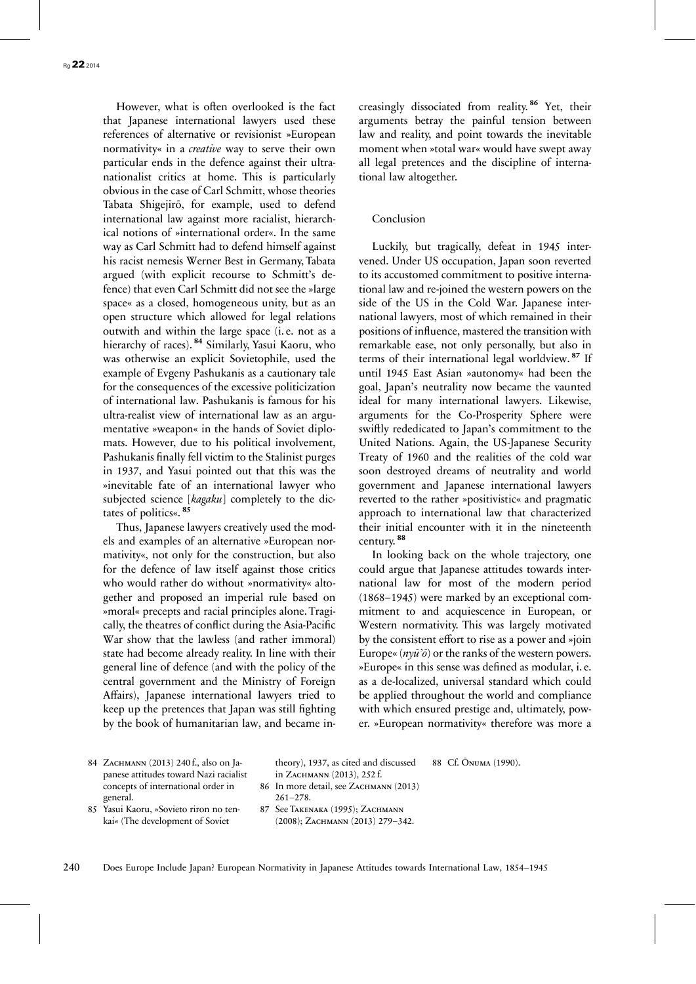However, what is often overlooked is the fact that Japanese international lawyers used these references of alternative or revisionist »European normativity« in a *creative* way to serve their own particular ends in the defence against their ultranationalist critics at home. This is particularly obvious in the case of Carl Schmitt, whose theories Tabata Shigejirō, for example, used to defend international law against more racialist, hierarchical notions of »international order«. In the same way as Carl Schmitt had to defend himself against his racist nemesis Werner Best in Germany, Tabata argued (with explicit recourse to Schmitt's defence) that even Carl Schmitt did not see the »large space« as a closed, homogeneous unity, but as an open structure which allowed for legal relations outwith and within the large space (i. e. not as a hierarchy of races). **<sup>84</sup>** Similarly, Yasui Kaoru, who was otherwise an explicit Sovietophile, used the example of Evgeny Pashukanis as a cautionary tale for the consequences of the excessive politicization of international law. Pashukanis is famous for his ultra-realist view of international law as an argumentative »weapon« in the hands of Soviet diplomats. However, due to his political involvement, Pashukanis finally fell victim to the Stalinist purges in 1937, and Yasui pointed out that this was the »inevitable fate of an international lawyer who subjected science [*kagaku*] completely to the dictates of politics«. **<sup>85</sup>**

Thus, Japanese lawyers creatively used the models and examples of an alternative »European normativity«, not only for the construction, but also for the defence of law itself against those critics who would rather do without »normativity« altogether and proposed an imperial rule based on »moral« precepts and racial principles alone. Tragically, the theatres of conflict during the Asia-Pacific War show that the lawless (and rather immoral) state had become already reality. In line with their general line of defence (and with the policy of the central government and the Ministry of Foreign Affairs), Japanese international lawyers tried to keep up the pretences that Japan was still fighting by the book of humanitarian law, and became increasingly dissociated from reality. **<sup>86</sup>** Yet, their arguments betray the painful tension between law and reality, and point towards the inevitable moment when »total war« would have swept away all legal pretences and the discipline of international law altogether.

#### Conclusion

Luckily, but tragically, defeat in 1945 intervened. Under US occupation, Japan soon reverted to its accustomed commitment to positive international law and re-joined the western powers on the side of the US in the Cold War. Japanese international lawyers, most of which remained in their positions of influence, mastered the transition with remarkable ease, not only personally, but also in terms of their international legal worldview. **<sup>87</sup>** If until 1945 East Asian »autonomy« had been the goal, Japan's neutrality now became the vaunted ideal for many international lawyers. Likewise, arguments for the Co-Prosperity Sphere were swiftly rededicated to Japan's commitment to the United Nations. Again, the US-Japanese Security Treaty of 1960 and the realities of the cold war soon destroyed dreams of neutrality and world government and Japanese international lawyers reverted to the rather »positivistic« and pragmatic approach to international law that characterized their initial encounter with it in the nineteenth century. **<sup>88</sup>**

In looking back on the whole trajectory, one could argue that Japanese attitudes towards international law for most of the modern period (1868–1945) were marked by an exceptional commitment to and acquiescence in European, or Western normativity. This was largely motivated by the consistent effort to rise as a power and »join Europe« (*nyū'ō*) or the ranks of the western powers. »Europe« in this sense was defined as modular, i. e. as a de-localized, universal standard which could be applied throughout the world and compliance with which ensured prestige and, ultimately, power. »European normativity« therefore was more a

88 Cf. Ōnuma (1990).

84 ZACHMANN (2013) 240 f., also on Japanese attitudes toward Nazi racialist concepts of international order in general.

theory), 1937, as cited and discussed in Zachmann (2013), 252 f. 86 In more detail, see ZACHMANN (2013)

- 261–278.
- 85 Yasui Kaoru, »Sovieto riron no tenkai« (The development of Soviet
- 87 See Takenaka (1995); Zachmann (2008); Zachmann (2013) 279–342.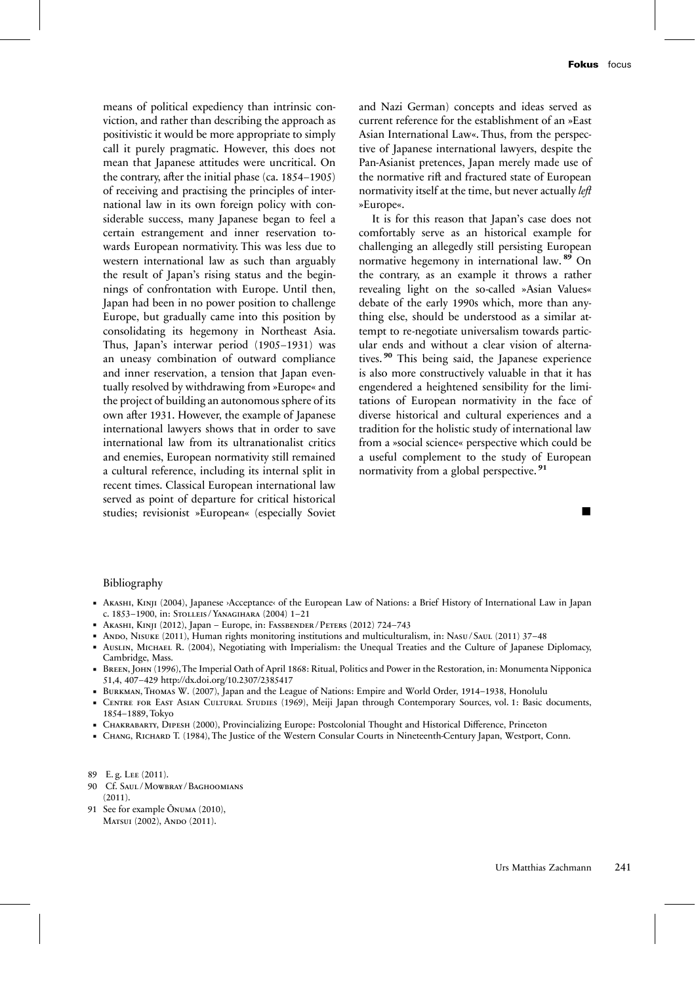means of political expediency than intrinsic conviction, and rather than describing the approach as positivistic it would be more appropriate to simply call it purely pragmatic. However, this does not mean that Japanese attitudes were uncritical. On the contrary, after the initial phase (ca. 1854–1905) of receiving and practising the principles of international law in its own foreign policy with considerable success, many Japanese began to feel a certain estrangement and inner reservation towards European normativity. This was less due to western international law as such than arguably the result of Japan's rising status and the beginnings of confrontation with Europe. Until then, Japan had been in no power position to challenge Europe, but gradually came into this position by consolidating its hegemony in Northeast Asia. Thus, Japan's interwar period (1905–1931) was an uneasy combination of outward compliance and inner reservation, a tension that Japan eventually resolved by withdrawing from »Europe« and the project of building an autonomous sphere of its own after 1931. However, the example of Japanese international lawyers shows that in order to save international law from its ultranationalist critics and enemies, European normativity still remained a cultural reference, including its internal split in recent times. Classical European international law served as point of departure for critical historical studies; revisionist »European« (especially Soviet and Nazi German) concepts and ideas served as current reference for the establishment of an »East Asian International Law«. Thus, from the perspective of Japanese international lawyers, despite the Pan-Asianist pretences, Japan merely made use of the normative rift and fractured state of European normativity itself at the time, but never actually *left* »Europe«.

It is for this reason that Japan's case does not comfortably serve as an historical example for challenging an allegedly still persisting European normative hegemony in international law. **<sup>89</sup>** On the contrary, as an example it throws a rather revealing light on the so-called »Asian Values« debate of the early 1990s which, more than anything else, should be understood as a similar attempt to re-negotiate universalism towards particular ends and without a clear vision of alternatives. **<sup>90</sup>** This being said, the Japanese experience is also more constructively valuable in that it has engendered a heightened sensibility for the limitations of European normativity in the face of diverse historical and cultural experiences and a tradition for the holistic study of international law from a »social science« perspective which could be a useful complement to the study of European normativity from a global perspective. **<sup>91</sup>**

#### Bibliography

- Akashi, Kinji (2004), Japanese ›Acceptance‹ of the European Law of Nations: a Brief History of International Law in Japan c. 1853–1900, in: Stolleis / Yanagihara (2004) 1–21
- Akashi, Kinji (2012), Japan Europe, in: Fassbender / Peters (2012) 724–743
- Ando, Nisuke (2011), Human rights monitoring institutions and multiculturalism, in: NASU/SAUL (2011) 37–48
- Auslin, Michael R. (2004), Negotiating with Imperialism: the Unequal Treaties and the Culture of Japanese Diplomacy, Cambridge, Mass.
- Breen, John (1996),The Imperial Oath of April 1868: Ritual, Politics and Power in the Restoration, in: Monumenta Nipponica 51,4, 407–429 http://dx.doi.org/10.2307/2385417
- Burkman, Thomas W. (2007), Japan and the League of Nations: Empire and World Order, 1914–1938, Honolulu
- CENTRE FOR EAST ASIAN CULTURAL STUDIES (1969), Meiji Japan through Contemporary Sources, vol. 1: Basic documents, 1854–1889, Tokyo
- Chakrabarty, Dipesh (2000), Provincializing Europe: Postcolonial Thought and Historical Difference, Princeton
- Chang, Richard T. (1984), The Justice of the Western Consular Courts in Nineteenth-Century Japan, Westport, Conn.

- 90 Cf. Saul / Mowbray / Baghoomians (2011).
- 91 See for example Ōnuma (2010), MATSUI (2002), ANDO (2011).

<sup>89</sup> E. g. Lee (2011).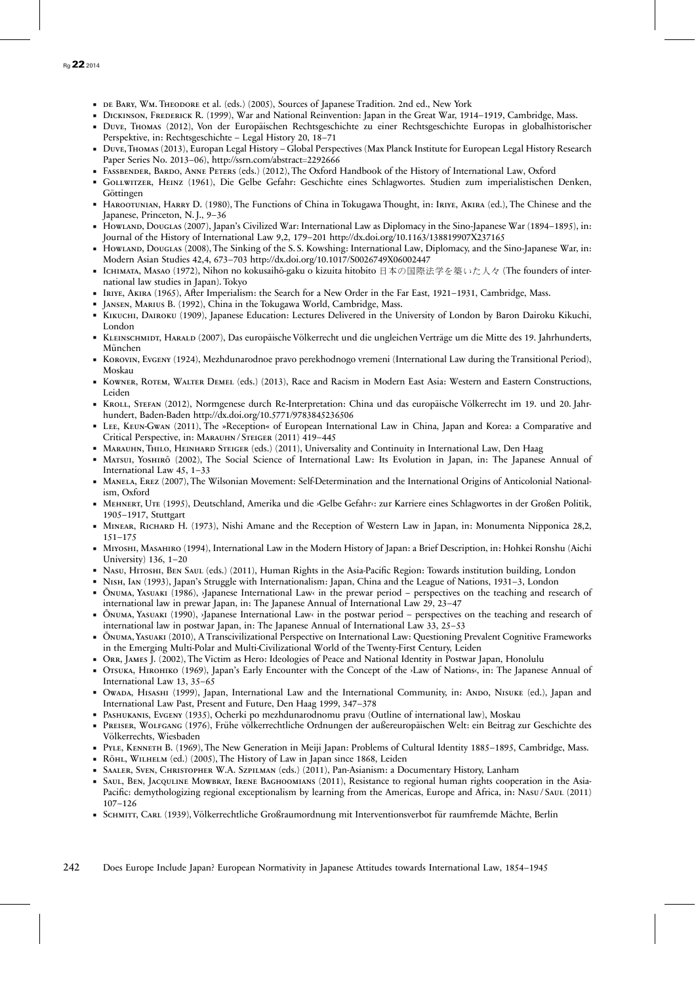- DE BARY, WM. THEODORE et al. (eds.) (2005), Sources of Japanese Tradition. 2nd ed., New York
- DICKINSON, FREDERICK R. (1999), War and National Reinvention: Japan in the Great War, 1914–1919, Cambridge, Mass.
- Duve, Thomas (2012), Von der Europäischen Rechtsgeschichte zu einer Rechtsgeschichte Europas in globalhistorischer Perspektive, in: Rechtsgeschichte – Legal History 20, 18–71
- Duve,Thomas (2013), Europan Legal History Global Perspectives (Max Planck Institute for European Legal History Research Paper Series No. 2013–06), http://ssrn.com/abstract=2292666
- Fassbender, Bardo, Anne Peters (eds.) (2012), The Oxford Handbook of the History of International Law, Oxford
- Gollwitzer, Heinz (1961), Die Gelbe Gefahr: Geschichte eines Schlagwortes. Studien zum imperialistischen Denken, Göttingen
- HAROOTUNIAN, HARRY D. (1980), The Functions of China in Tokugawa Thought, in: IRIYE, AKIRA (ed.), The Chinese and the Japanese, Princeton, N. J., 9–36
- Howland, Douglas (2007), Japan's Civilized War: International Law as Diplomacy in the Sino-Japanese War (1894–1895), in: Journal of the History of International Law 9,2, 179–201 http://dx.doi.org/10.1163/138819907X237165
- HowLAND, DOUGLAS (2008), The Sinking of the S.S. Kowshing: International Law, Diplomacy, and the Sino-Japanese War, in: Modern Asian Studies 42,4, 673–703 http://dx.doi.org/10.1017/S0026749X06002447
- Існимата, Masao (1972), Nihon no kokusaihō-gaku o kizuita hitobito 日本の国際法学を築いた人々 (The founders of international law studies in Japan). Tokyo
- Iriye, Akira (1965), After Imperialism: the Search for a New Order in the Far East, 1921–1931, Cambridge, Mass.
- Jansen, Marius B. (1992), China in the Tokugawa World, Cambridge, Mass.
- KIKUCHI, DAIROKU (1909), Japanese Education: Lectures Delivered in the University of London by Baron Dairoku Kikuchi, London
- KLEINSCHMIDT, HARALD (2007), Das europäische Völkerrecht und die ungleichen Verträge um die Mitte des 19. Jahrhunderts, München
- KOROVIN, EVGENY (1924), Mezhdunarodnoe pravo perekhodnogo vremeni (International Law during the Transitional Period), Moskau
- KOWNER, ROTEM, WALTER DEMEL (eds.) (2013), Race and Racism in Modern East Asia: Western and Eastern Constructions, Leiden
- KROLL, STEFAN (2012), Normgenese durch Re-Interpretation: China und das europäische Völkerrecht im 19. und 20. Jahrhundert, Baden-Baden http://dx.doi.org/10.5771/9783845236506
- Lee, Keun-Gwan (2011), The »Reception« of European International Law in China, Japan and Korea: a Comparative and Critical Perspective, in: Marauhn / Steiger (2011) 419–445
- Marauhn, Thilo, Heinhard Steiger (eds.) (2011), Universality and Continuity in International Law, Den Haag
- Marsui, Yoshiro (2002), The Social Science of International Law: Its Evolution in Japan, in: The Japanese Annual of International Law 45, 1–33
- Manela, Erez (2007), The Wilsonian Movement: Self-Determination and the International Origins of Anticolonial Nationalism, Oxford
- Mehnert, Ute (1995), Deutschland, Amerika und die ›Gelbe Gefahr‹: zur Karriere eines Schlagwortes in der Großen Politik, 1905–1917, Stuttgart
- Minear, Richard H. (1973), Nishi Amane and the Reception of Western Law in Japan, in: Monumenta Nipponica 28,2, 151–175
- Miyoshi, Masahiro (1994), International Law in the Modern History of Japan: a Brief Description, in: Hohkei Ronshu (Aichi University) 136, 1–20
- Nasu, Hitoshi, Ben Saul (eds.) (2011), Human Rights in the Asia-Pacific Region: Towards institution building, London
- Nish, Ian (1993), Japan's Struggle with Internationalism: Japan, China and the League of Nations, 1931–3, London
- Ōnuma, Yasuaki (1986), ›Japanese International Law‹ in the prewar period perspectives on the teaching and research of international law in prewar Japan, in: The Japanese Annual of International Law 29, 23–47
- Ōnuma, Yasuaki (1990), ›Japanese International Law‹ in the postwar period perspectives on the teaching and research of international law in postwar Japan, in: The Japanese Annual of International Law 33, 25–53
- Ōnuma, Yasuaki (2010), A Transcivilizational Perspective on International Law: Questioning Prevalent Cognitive Frameworks in the Emerging Multi-Polar and Multi-Civilizational World of the Twenty-First Century, Leiden
- Orr, James J. (2002), The Victim as Hero: Ideologies of Peace and National Identity in Postwar Japan, Honolulu
- Otsuka, Hirohiko (1969), Japan's Early Encounter with the Concept of the ›Law of Nations‹, in: The Japanese Annual of International Law 13, 35–65
- Owada, Hisashi (1999), Japan, International Law and the International Community, in: Ando, Nisuke (ed.), Japan and International Law Past, Present and Future, Den Haag 1999, 347–378
- Pashukanis, Evgeny (1935), Ocherki po mezhdunarodnomu pravu (Outline of international law), Moskau
- Preiser, Wolfgang (1976), Frühe völkerrechtliche Ordnungen der außereuropäischen Welt: ein Beitrag zur Geschichte des Völkerrechts, Wiesbaden
- PYLE, KENNETH B. (1969), The New Generation in Meiji Japan: Problems of Cultural Identity 1885-1895, Cambridge, Mass.
- Röhl, Wilhelm (ed.) (2005), The History of Law in Japan since 1868, Leiden
- Saaler, Sven, Christopher W.A. Szpilman (eds.) (2011), Pan-Asianism: a Documentary History, Lanham
- SAUL, BEN, JACQULINE MOWBRAY, IRENE BAGHOOMIANS (2011), Resistance to regional human rights cooperation in the Asia-Pacific: demythologizing regional exceptionalism by learning from the Americas, Europe and Africa, in: NASU/SAUL (2011) 107–126
- Schmitt, Carl (1939), Völkerrechtliche Großraumordnung mit Interventionsverbot für raumfremde Mächte, Berlin